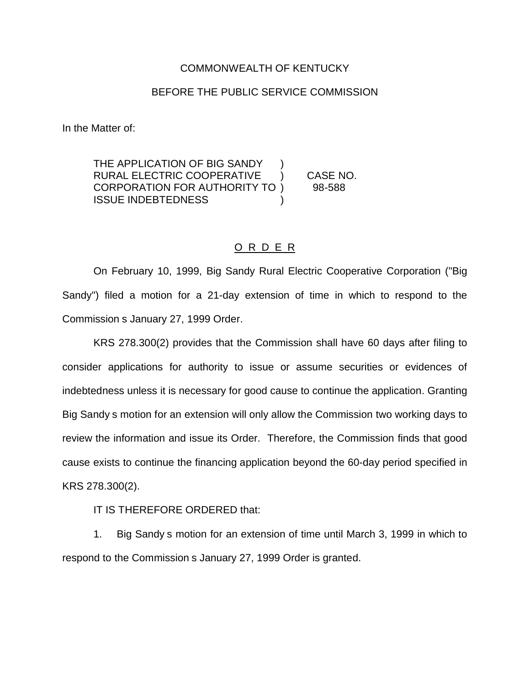## COMMONWEALTH OF KENTUCKY

## BEFORE THE PUBLIC SERVICE COMMISSION

In the Matter of:

THE APPLICATION OF BIG SANDY RURAL ELECTRIC COOPERATIVE ) CASE NO. CORPORATION FOR AUTHORITY TO ) 98-588 ISSUE INDEBTEDNESS )

## O R D E R

On February 10, 1999, Big Sandy Rural Electric Cooperative Corporation ("Big Sandy") filed a motion for a 21-day extension of time in which to respond to the Commission s January 27, 1999 Order.

KRS 278.300(2) provides that the Commission shall have 60 days after filing to consider applications for authority to issue or assume securities or evidences of indebtedness unless it is necessary for good cause to continue the application. Granting Big Sandy s motion for an extension will only allow the Commission two working days to review the information and issue its Order. Therefore, the Commission finds that good cause exists to continue the financing application beyond the 60-day period specified in KRS 278.300(2).

IT IS THEREFORE ORDERED that:

1. Big Sandy s motion for an extension of time until March 3, 1999 in which to respond to the Commission s January 27, 1999 Order is granted.